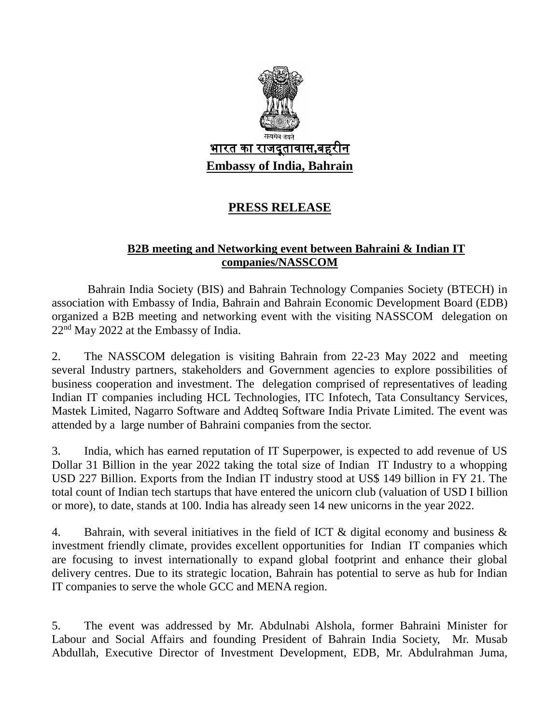

## **PRESS RELEASE**

## **B2B meeting and Networking event between Bahraini & Indian IT companies/NASSCOM**

Bahrain India Society (BIS) and Bahrain Technology Companies Society (BTECH) in association with Embassy of India, Bahrain and Bahrain Economic Development Board (EDB) organized a B2B meeting and networking event with the visiting NASSCOM delegation on 22nd May 2022 at the Embassy of India.

2. The NASSCOM delegation is visiting Bahrain from 22-23 May 2022 and meeting several Industry partners, stakeholders and Government agencies to explore possibilities of business cooperation and investment. The delegation comprised of representatives of leading Indian IT companies including HCL Technologies, ITC Infotech, Tata Consultancy Services, Mastek Limited, Nagarro Software and Addteq Software India Private Limited. The event was attended by a large number of Bahraini companies from the sector.

3. India, which has earned reputation of IT Superpower, is expected to add revenue of US Dollar 31 Billion in the year 2022 taking the total size of Indian IT Industry to a whopping USD 227 Billion. Exports from the Indian IT industry stood at US\$ 149 billion in FY 21. The total count of Indian tech startups that have entered the unicorn club (valuation of USD I billion or more), to date, stands at 100. India has already seen 14 new unicorns in the year 2022.

4. Bahrain, with several initiatives in the field of ICT & digital economy and business & investment friendly climate, provides excellent opportunities for Indian IT companies which are focusing to invest internationally to expand global footprint and enhance their global delivery centres. Due to its strategic location, Bahrain has potential to serve as hub for Indian IT companies to serve the whole GCC and MENA region.

5. The event was addressed by Mr. Abdulnabi Alshola, former Bahraini Minister for Labour and Social Affairs and founding President of Bahrain India Society, Mr. Musab Abdullah, Executive Director of Investment Development, EDB, Mr. Abdulrahman Juma,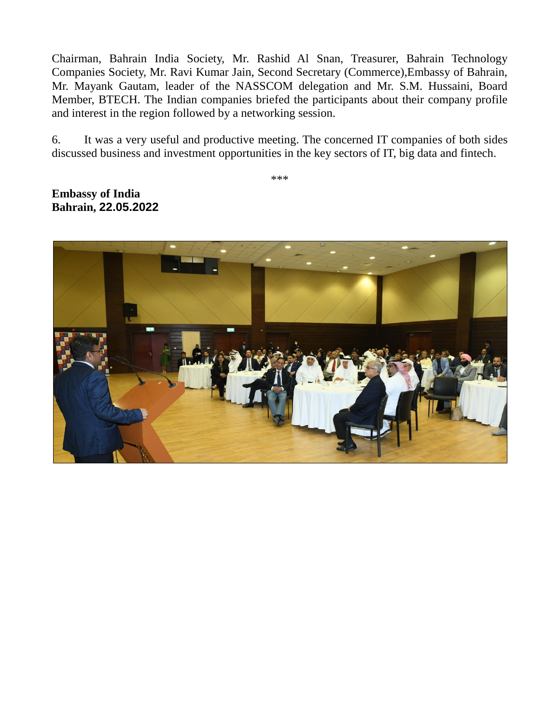Chairman, Bahrain India Society, Mr. Rashid Al Snan, Treasurer, Bahrain Technology Companies Society, Mr. Ravi Kumar Jain, Second Secretary (Commerce),Embassy of Bahrain, Mr. Mayank Gautam, leader of the NASSCOM delegation and Mr. S.M. Hussaini, Board Member, BTECH. The Indian companies briefed the participants about their company profile and interest in the region followed by a networking session.

6. It was a very useful and productive meeting. The concerned IT companies of both sides discussed business and investment opportunities in the key sectors of IT, big data and fintech.

\*\*\*

**Embassy of India Bahrain, 22.05.2022**

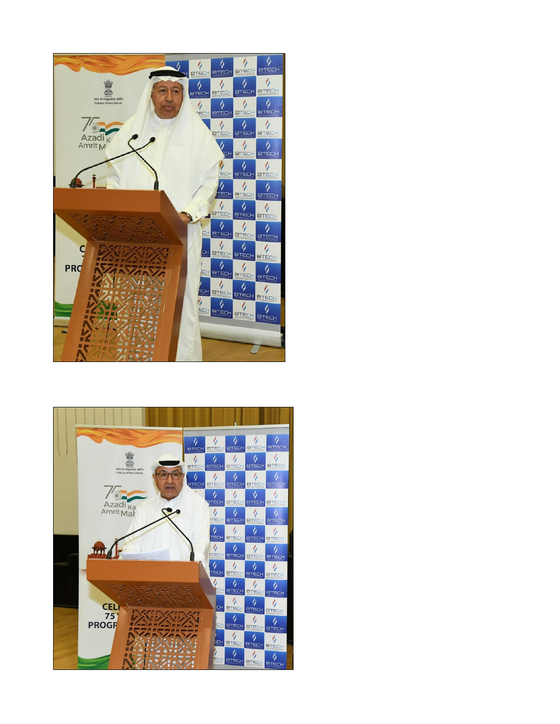

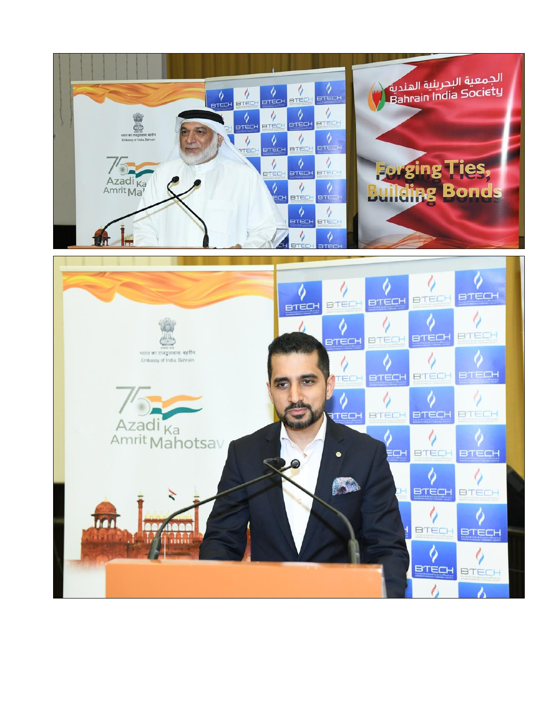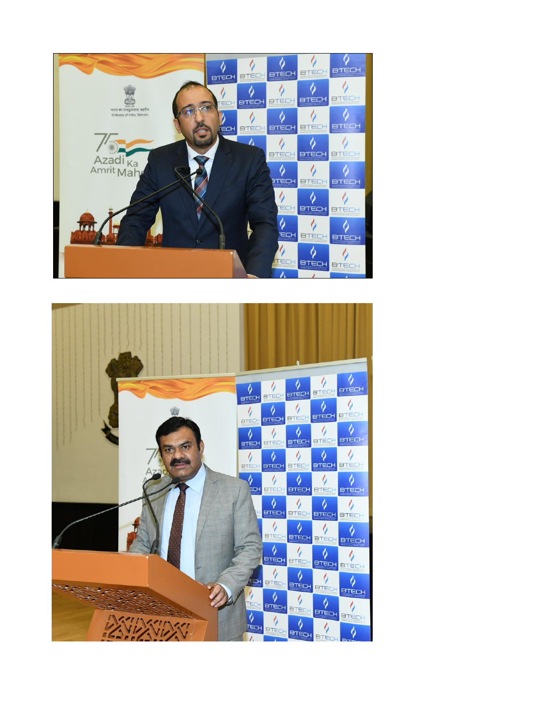